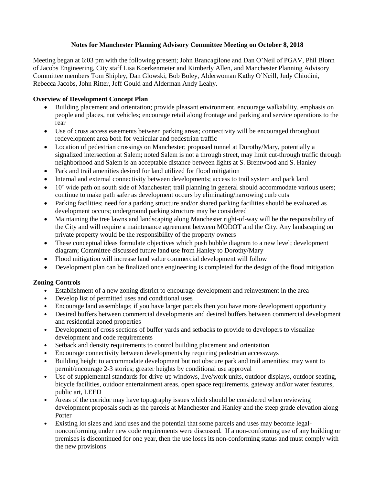## **Notes for Manchester Planning Advisory Committee Meeting on October 8, 2018**

Meeting began at 6:03 pm with the following present; John Brancagilone and Dan O'Neil of PGAV, Phil Blonn of Jacobs Engineering, City staff Lisa Koerkenmeier and Kimberly Allen, and Manchester Planning Advisory Committee members Tom Shipley, Dan Glowski, Bob Boley, Alderwoman Kathy O'Neill, Judy Chiodini, Rebecca Jacobs, John Ritter, Jeff Gould and Alderman Andy Leahy.

## **Overview of Development Concept Plan**

- Building placement and orientation; provide pleasant environment, encourage walkability, emphasis on people and places, not vehicles; encourage retail along frontage and parking and service operations to the rear
- Use of cross access easements between parking areas; connectivity will be encouraged throughout redevelopment area both for vehicular and pedestrian traffic
- Location of pedestrian crossings on Manchester; proposed tunnel at Dorothy/Mary, potentially a signalized intersection at Salem; noted Salem is not a through street, may limit cut-through traffic through neighborhood and Salem is an acceptable distance between lights at S. Brentwood and S. Hanley
- Park and trail amenities desired for land utilized for flood mitigation
- Internal and external connectivity between developments; access to trail system and park land
- 10' wide path on south side of Manchester; trail planning in general should accommodate various users; continue to make path safer as development occurs by eliminating/narrowing curb cuts
- Parking facilities; need for a parking structure and/or shared parking facilities should be evaluated as development occurs; underground parking structure may be considered
- Maintaining the tree lawns and landscaping along Manchester right-of-way will be the responsibility of the City and will require a maintenance agreement between MODOT and the City. Any landscaping on private property would be the responsibility of the property owners
- These conceptual ideas formulate objectives which push bubble diagram to a new level; development diagram; Committee discussed future land use from Hanley to Dorothy/Mary
- Flood mitigation will increase land value commercial development will follow
- Development plan can be finalized once engineering is completed for the design of the flood mitigation

## **Zoning Controls**

- Establishment of a new zoning district to encourage development and reinvestment in the area
- Develop list of permitted uses and conditional uses
- Encourage land assemblage; if you have larger parcels then you have more development opportunity
- Desired buffers between commercial developments and desired buffers between commercial development and residential zoned properties
- Development of cross sections of buffer yards and setbacks to provide to developers to visualize development and code requirements
- Setback and density requirements to control building placement and orientation
- Encourage connectivity between developments by requiring pedestrian accessways
- Building height to accommodate development but not obscure park and trail amenities; may want to permit/encourage 2-3 stories; greater heights by conditional use approval
- Use of supplemental standards for drive-up windows, live/work units, outdoor displays, outdoor seating, bicycle facilities, outdoor entertainment areas, open space requirements, gateway and/or water features, public art, LEED
- Areas of the corridor may have topography issues which should be considered when reviewing development proposals such as the parcels at Manchester and Hanley and the steep grade elevation along Porter
- Existing lot sizes and land uses and the potential that some parcels and uses may become legalnonconforming under new code requirements were discussed. If a non-conforming use of any building or premises is discontinued for one year, then the use loses its non-conforming status and must comply with the new provisions